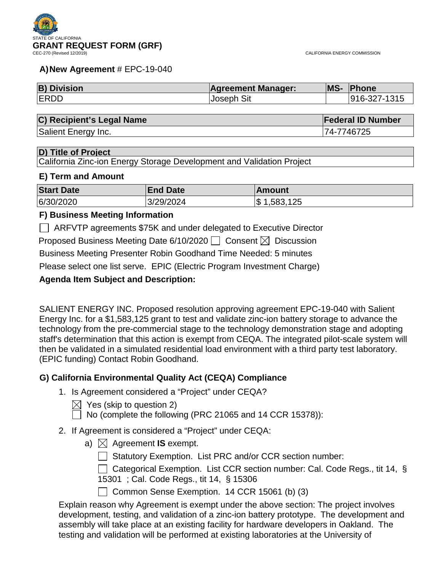#### **A)New Agreement** # EPC-19-040

| <b>B) Division</b> | <b>Agreement Manager:</b> | MS- Phone    |
|--------------------|---------------------------|--------------|
| <b>ERDD</b>        | <b>Joseph Sit</b>         | 916-327-1315 |

#### **C) Recipient's Legal Name Federal ID Number**

Salient Energy Inc. **74-7746725** 

**D) Title of Project**

California Zinc-ion Energy Storage Development and Validation Project

#### **E) Term and Amount**

| <b>Start Date</b> | <b>End Date</b> | <b>Amount</b>        |
|-------------------|-----------------|----------------------|
| 6/30/2020         | 3/29/2024       | .125<br>,583,<br>۱\$ |

### **F) Business Meeting Information**

ARFVTP agreements \$75K and under delegated to Executive Director

Proposed Business Meeting Date 6/10/2020  $\Box$  Consent  $\boxtimes$  Discussion

Business Meeting Presenter Robin Goodhand Time Needed: 5 minutes

Please select one list serve. EPIC (Electric Program Investment Charge)

## **Agenda Item Subject and Description:**

SALIENT ENERGY INC. Proposed resolution approving agreement EPC-19-040 with Salient Energy Inc. for a \$1,583,125 grant to test and validate zinc-ion battery storage to advance the technology from the pre-commercial stage to the technology demonstration stage and adopting staff's determination that this action is exempt from CEQA. The integrated pilot-scale system will then be validated in a simulated residential load environment with a third party test laboratory. (EPIC funding) Contact Robin Goodhand.

## **G) California Environmental Quality Act (CEQA) Compliance**

1. Is Agreement considered a "Project" under CEQA?

 $\boxtimes$  Yes (skip to question 2)

 $\Box$  No (complete the following (PRC 21065 and 14 CCR 15378)):

- 2. If Agreement is considered a "Project" under CEQA:
	- a)  $\boxtimes$  Agreement **IS** exempt.

 $\Box$  Statutory Exemption. List PRC and/or CCR section number:

□ Categorical Exemption. List CCR section number: Cal. Code Regs., tit 14, § 15301 ; Cal. Code Regs., tit 14, § 15306

Common Sense Exemption. 14 CCR 15061 (b) (3)

Explain reason why Agreement is exempt under the above section: The project involves development, testing, and validation of a zinc-ion battery prototype. The development and assembly will take place at an existing facility for hardware developers in Oakland. The testing and validation will be performed at existing laboratories at the University of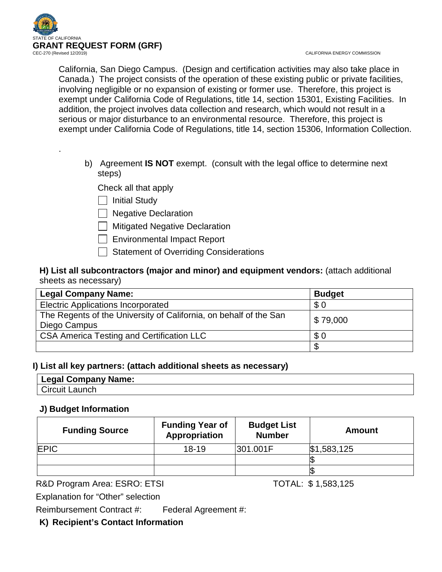

.

California, San Diego Campus. (Design and certification activities may also take place in Canada.) The project consists of the operation of these existing public or private facilities, involving negligible or no expansion of existing or former use. Therefore, this project is exempt under California Code of Regulations, title 14, section 15301, Existing Facilities. In addition, the project involves data collection and research, which would not result in a serious or major disturbance to an environmental resource. Therefore, this project is exempt under California Code of Regulations, title 14, section 15306, Information Collection.

b) Agreement **IS NOT** exempt. (consult with the legal office to determine next steps)

Check all that apply

| | Initial Study

| Negative Declaration

**Mitigated Negative Declaration** 

- Environmental Impact Report
- Statement of Overriding Considerations

## **H) List all subcontractors (major and minor) and equipment vendors:** (attach additional sheets as necessary)

| <b>Legal Company Name:</b>                                                        | <b>Budget</b> |
|-----------------------------------------------------------------------------------|---------------|
| <b>Electric Applications Incorporated</b>                                         | \$0           |
| The Regents of the University of California, on behalf of the San<br>Diego Campus | \$79,000      |
| CSA America Testing and Certification LLC                                         | \$0           |
|                                                                                   |               |

## **I) List all key partners: (attach additional sheets as necessary)**

| Legal Company Name: |  |
|---------------------|--|
| Circuit Launch      |  |

## **J) Budget Information**

| <b>Funding Source</b> | <b>Funding Year of</b><br>Appropriation | <b>Budget List</b><br><b>Number</b> | <b>Amount</b> |
|-----------------------|-----------------------------------------|-------------------------------------|---------------|
| <b>EPIC</b>           | $18 - 19$                               | 301.001F                            | \$1,583,125   |
|                       |                                         |                                     |               |
|                       |                                         |                                     |               |

R&D Program Area: ESRO: ETSI TOTAL: \$1,583,125

Explanation for "Other" selection

Reimbursement Contract #: Federal Agreement #:

## **K) Recipient's Contact Information**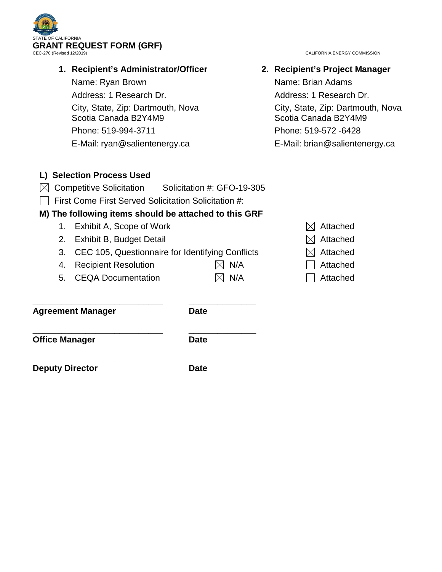

## **1. Recipient's Administrator/Officer**

Name: Ryan Brown

Address: 1 Research Dr.

City, State, Zip: Dartmouth, Nova Scotia Canada B2Y4M9

Phone: 519-994-3711

E-Mail: ryan@salientenergy.ca

CALIFORNIA ENERGY COMMISSION

**2. Recipient's Project Manager** Name: Brian Adams Address: 1 Research Dr. City, State, Zip: Dartmouth, Nova Scotia Canada B2Y4M9 Phone: 519-572 -6428 E-Mail: brian@salientenergy.ca

## **L) Selection Process Used**

- $\boxtimes$  Competitive Solicitation Solicitation #: GFO-19-305
- $\Box$  First Come First Served Solicitation Solicitation #:

## **M) The following items should be attached to this GRF**

- 1. Exhibit A, Scope of Work  $\boxtimes$  Attached
- 2. Exhibit B, Budget Detail  $\boxtimes$  Attached
- 3. CEC 105, Questionnaire for Identifying Conflicts  $\boxtimes$  Attached
- 4. Recipient Resolution  $\boxtimes$  N/A  $\Box$  Attached
- 5. CEQA Documentation  $\boxtimes$  N/A  $\Box$  Attached

**\_\_\_\_\_\_\_\_\_\_\_\_\_\_\_\_\_\_\_\_\_\_\_\_\_\_\_ \_\_\_\_\_\_\_\_\_\_\_\_\_\_ Agreement Manager Date** 

**\_\_\_\_\_\_\_\_\_\_\_\_\_\_\_\_\_\_\_\_\_\_\_\_\_\_\_ \_\_\_\_\_\_\_\_\_\_\_\_\_\_ Office Manager Date** 

**\_\_\_\_\_\_\_\_\_\_\_\_\_\_\_\_\_\_\_\_\_\_\_\_\_\_\_ \_\_\_\_\_\_\_\_\_\_\_\_\_\_ Deputy Director Date** 

- 
- 
- 
- 
-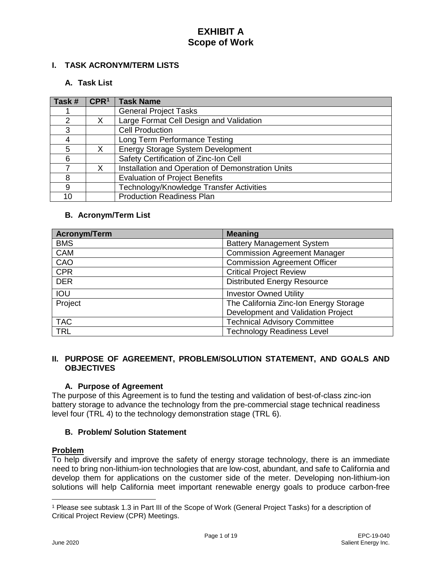## **I. TASK ACRONYM/TERM LISTS**

### **A. Task List**

| Task #        | CPR <sup>1</sup> | <b>Task Name</b>                                  |
|---------------|------------------|---------------------------------------------------|
|               |                  | <b>General Project Tasks</b>                      |
| $\mathcal{P}$ |                  | Large Format Cell Design and Validation           |
| 3             |                  | <b>Cell Production</b>                            |
| 4             |                  | Long Term Performance Testing                     |
| 5             | X                | Energy Storage System Development                 |
| 6             |                  | Safety Certification of Zinc-Ion Cell             |
|               | X                | Installation and Operation of Demonstration Units |
| 8             |                  | <b>Evaluation of Project Benefits</b>             |
| 9             |                  | Technology/Knowledge Transfer Activities          |
| 10            |                  | <b>Production Readiness Plan</b>                  |

### **B. Acronym/Term List**

| <b>Acronym/Term</b> | <b>Meaning</b>                         |
|---------------------|----------------------------------------|
| <b>BMS</b>          | <b>Battery Management System</b>       |
| <b>CAM</b>          | <b>Commission Agreement Manager</b>    |
| CAO                 | <b>Commission Agreement Officer</b>    |
| <b>CPR</b>          | <b>Critical Project Review</b>         |
| <b>DER</b>          | <b>Distributed Energy Resource</b>     |
| IOU                 | <b>Investor Owned Utility</b>          |
| Project             | The California Zinc-Ion Energy Storage |
|                     | Development and Validation Project     |
| <b>TAC</b>          | <b>Technical Advisory Committee</b>    |
| <b>TRL</b>          | <b>Technology Readiness Level</b>      |

### **II. PURPOSE OF AGREEMENT, PROBLEM/SOLUTION STATEMENT, AND GOALS AND OBJECTIVES**

## **A. Purpose of Agreement**

The purpose of this Agreement is to fund the testing and validation of best-of-class zinc-ion battery storage to advance the technology from the pre-commercial stage technical readiness level four (TRL 4) to the technology demonstration stage (TRL 6).

#### **B. Problem/ Solution Statement**

## **Problem**

To help diversify and improve the safety of energy storage technology, there is an immediate need to bring non-lithium-ion technologies that are low-cost, abundant, and safe to California and develop them for applications on the customer side of the meter. Developing non-lithium-ion solutions will help California meet important renewable energy goals to produce carbon-free

 $\overline{a}$ 

<span id="page-3-0"></span><sup>1</sup> Please see subtask 1.3 in Part III of the Scope of Work (General Project Tasks) for a description of Critical Project Review (CPR) Meetings.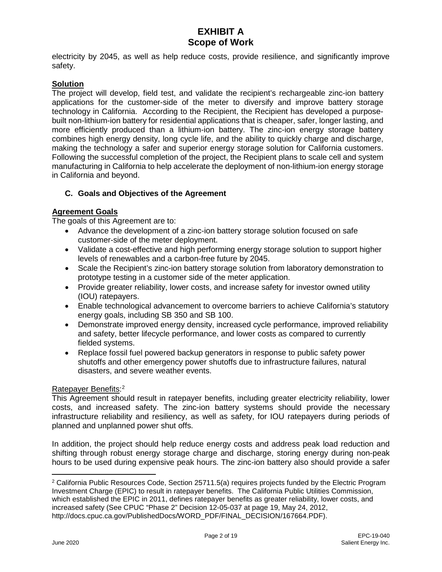electricity by 2045, as well as help reduce costs, provide resilience, and significantly improve safety.

### **Solution**

The project will develop, field test, and validate the recipient's rechargeable zinc-ion battery applications for the customer-side of the meter to diversify and improve battery storage technology in California. According to the Recipient, the Recipient has developed a purposebuilt non-lithium-ion battery for residential applications that is cheaper, safer, longer lasting, and more efficiently produced than a lithium-ion battery. The zinc-ion energy storage battery combines high energy density, long cycle life, and the ability to quickly charge and discharge, making the technology a safer and superior energy storage solution for California customers. Following the successful completion of the project, the Recipient plans to scale cell and system manufacturing in California to help accelerate the deployment of non-lithium-ion energy storage in California and beyond.

## **C. Goals and Objectives of the Agreement**

### **Agreement Goals**

The goals of this Agreement are to:

- Advance the development of a zinc-ion battery storage solution focused on safe customer-side of the meter deployment.
- Validate a cost-effective and high performing energy storage solution to support higher levels of renewables and a carbon-free future by 2045.
- Scale the Recipient's zinc-ion battery storage solution from laboratory demonstration to prototype testing in a customer side of the meter application.
- Provide greater reliability, lower costs, and increase safety for investor owned utility (IOU) ratepayers.
- Enable technological advancement to overcome barriers to achieve California's statutory energy goals, including SB 350 and SB 100.
- Demonstrate improved energy density, increased cycle performance, improved reliability and safety, better lifecycle performance, and lower costs as compared to currently fielded systems.
- Replace fossil fuel powered backup generators in response to public safety power shutoffs and other emergency power shutoffs due to infrastructure failures, natural disasters, and severe weather events.

### Ratepayer Benefits:<sup>[2](#page-4-0)</sup>

This Agreement should result in ratepayer benefits, including greater electricity reliability, lower costs, and increased safety. The zinc-ion battery systems should provide the necessary infrastructure reliability and resiliency, as well as safety, for IOU ratepayers during periods of planned and unplanned power shut offs.

In addition, the project should help reduce energy costs and address peak load reduction and shifting through robust energy storage charge and discharge, storing energy during non-peak hours to be used during expensive peak hours. The zinc-ion battery also should provide a safer

 $\overline{a}$ 

<span id="page-4-0"></span><sup>2</sup> California Public Resources Code, Section 25711.5(a) requires projects funded by the Electric Program Investment Charge (EPIC) to result in ratepayer benefits. The California Public Utilities Commission, which established the EPIC in 2011, defines ratepayer benefits as greater reliability, lower costs, and increased safety (See CPUC "Phase 2" Decision 12-05-037 at page 19, May 24, 2012, http://docs.cpuc.ca.gov/PublishedDocs/WORD\_PDF/FINAL\_DECISION/167664.PDF).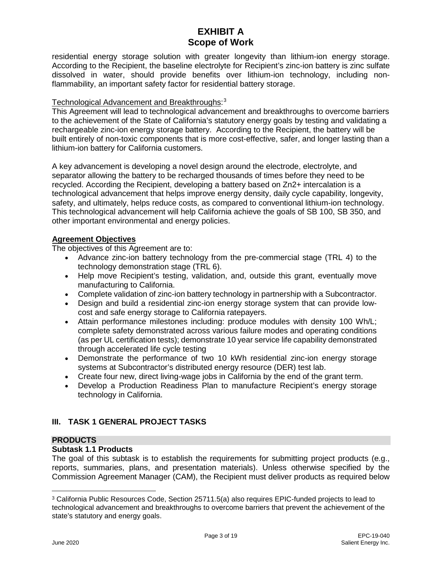residential energy storage solution with greater longevity than lithium-ion energy storage. According to the Recipient, the baseline electrolyte for Recipient's zinc-ion battery is zinc sulfate dissolved in water, should provide benefits over lithium-ion technology, including nonflammability, an important safety factor for residential battery storage.

## Technological Advancement and Breakthroughs: [3](#page-5-0)

This Agreement will lead to technological advancement and breakthroughs to overcome barriers to the achievement of the State of California's statutory energy goals by testing and validating a rechargeable zinc-ion energy storage battery. According to the Recipient, the battery will be built entirely of non-toxic components that is more cost-effective, safer, and longer lasting than a lithium-ion battery for California customers.

A key advancement is developing a novel design around the electrode, electrolyte, and separator allowing the battery to be recharged thousands of times before they need to be recycled. According the Recipient, developing a battery based on Zn2+ intercalation is a technological advancement that helps improve energy density, daily cycle capability, longevity, safety, and ultimately, helps reduce costs, as compared to conventional lithium-ion technology. This technological advancement will help California achieve the goals of SB 100, SB 350, and other important environmental and energy policies.

## **Agreement Objectives**

The objectives of this Agreement are to:

- Advance zinc-ion battery technology from the pre-commercial stage (TRL 4) to the technology demonstration stage (TRL 6).
- Help move Recipient's testing, validation, and, outside this grant, eventually move manufacturing to California.
- Complete validation of zinc-ion battery technology in partnership with a Subcontractor.
- Design and build a residential zinc-ion energy storage system that can provide lowcost and safe energy storage to California ratepayers.
- Attain performance milestones including: produce modules with density 100 Wh/L; complete safety demonstrated across various failure modes and operating conditions (as per UL certification tests); demonstrate 10 year service life capability demonstrated through accelerated life cycle testing
- Demonstrate the performance of two 10 kWh residential zinc-ion energy storage systems at Subcontractor's distributed energy resource (DER) test lab.
- Create four new, direct living-wage jobs in California by the end of the grant term.
- Develop a Production Readiness Plan to manufacture Recipient's energy storage technology in California.

## **III. TASK 1 GENERAL PROJECT TASKS**

#### **PRODUCTS**

## **Subtask 1.1 Products**

The goal of this subtask is to establish the requirements for submitting project products (e.g., reports, summaries, plans, and presentation materials). Unless otherwise specified by the Commission Agreement Manager (CAM), the Recipient must deliver products as required below

<span id="page-5-0"></span> $\overline{a}$ <sup>3</sup> California Public Resources Code, Section 25711.5(a) also requires EPIC-funded projects to lead to technological advancement and breakthroughs to overcome barriers that prevent the achievement of the state's statutory and energy goals.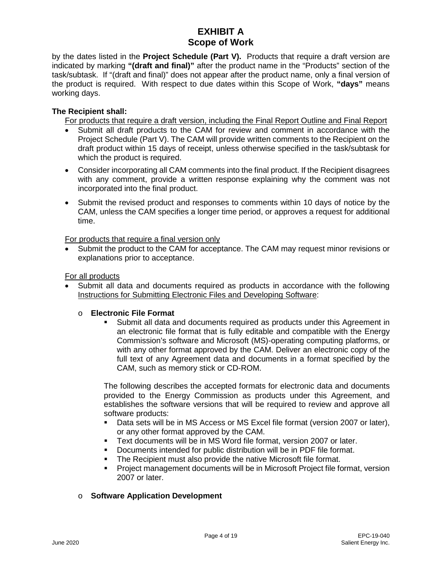by the dates listed in the **Project Schedule (Part V).** Products that require a draft version are indicated by marking **"(draft and final)"** after the product name in the "Products" section of the task/subtask. If "(draft and final)" does not appear after the product name, only a final version of the product is required. With respect to due dates within this Scope of Work, **"days"** means working days.

## **The Recipient shall:**

For products that require a draft version, including the Final Report Outline and Final Report

- Submit all draft products to the CAM for review and comment in accordance with the Project Schedule (Part V). The CAM will provide written comments to the Recipient on the draft product within 15 days of receipt, unless otherwise specified in the task/subtask for which the product is required.
- Consider incorporating all CAM comments into the final product. If the Recipient disagrees with any comment, provide a written response explaining why the comment was not incorporated into the final product.
- Submit the revised product and responses to comments within 10 days of notice by the CAM, unless the CAM specifies a longer time period, or approves a request for additional time.

For products that require a final version only

• Submit the product to the CAM for acceptance. The CAM may request minor revisions or explanations prior to acceptance.

### For all products

• Submit all data and documents required as products in accordance with the following Instructions for Submitting Electronic Files and Developing Software:

## o **Electronic File Format**

 Submit all data and documents required as products under this Agreement in an electronic file format that is fully editable and compatible with the Energy Commission's software and Microsoft (MS)-operating computing platforms, or with any other format approved by the CAM. Deliver an electronic copy of the full text of any Agreement data and documents in a format specified by the CAM, such as memory stick or CD-ROM.

The following describes the accepted formats for electronic data and documents provided to the Energy Commission as products under this Agreement, and establishes the software versions that will be required to review and approve all software products:

- **Data sets will be in MS Access or MS Excel file format (version 2007 or later),** or any other format approved by the CAM.
- Text documents will be in MS Word file format, version 2007 or later.
- Documents intended for public distribution will be in PDF file format.
- **The Recipient must also provide the native Microsoft file format.**
- Project management documents will be in Microsoft Project file format, version 2007 or later.

## o **Software Application Development**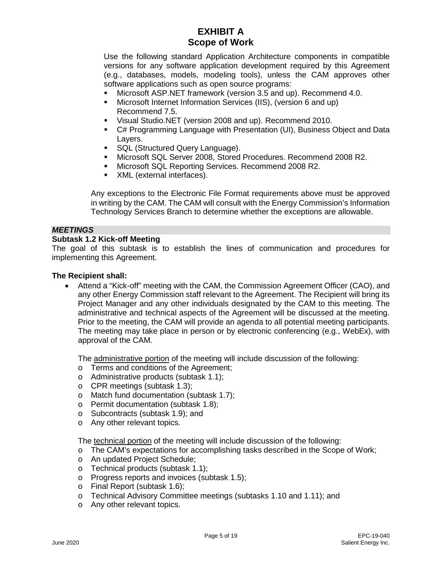Use the following standard Application Architecture components in compatible versions for any software application development required by this Agreement (e.g., databases, models, modeling tools), unless the CAM approves other software applications such as open source programs:

- Microsoft ASP.NET framework (version 3.5 and up). Recommend 4.0.
- Microsoft Internet Information Services (IIS), (version 6 and up) Recommend 7.5.
- Visual Studio.NET (version 2008 and up). Recommend 2010.
- C# Programming Language with Presentation (UI), Business Object and Data Layers.
- **SQL (Structured Query Language).**
- Microsoft SQL Server 2008, Stored Procedures. Recommend 2008 R2.
- **Microsoft SQL Reporting Services. Recommend 2008 R2.**
- **XML** (external interfaces).

Any exceptions to the Electronic File Format requirements above must be approved in writing by the CAM. The CAM will consult with the Energy Commission's Information Technology Services Branch to determine whether the exceptions are allowable.

#### *MEETINGS*

#### **Subtask 1.2 Kick-off Meeting**

The goal of this subtask is to establish the lines of communication and procedures for implementing this Agreement.

#### **The Recipient shall:**

• Attend a "Kick-off" meeting with the CAM, the Commission Agreement Officer (CAO), and any other Energy Commission staff relevant to the Agreement. The Recipient will bring its Project Manager and any other individuals designated by the CAM to this meeting. The administrative and technical aspects of the Agreement will be discussed at the meeting. Prior to the meeting, the CAM will provide an agenda to all potential meeting participants. The meeting may take place in person or by electronic conferencing (e.g., WebEx), with approval of the CAM.

The administrative portion of the meeting will include discussion of the following:

- o Terms and conditions of the Agreement;
- o Administrative products (subtask 1.1);
- o CPR meetings (subtask 1.3);
- o Match fund documentation (subtask 1.7);
- o Permit documentation (subtask 1.8);
- o Subcontracts (subtask 1.9); and
- o Any other relevant topics.

The technical portion of the meeting will include discussion of the following:

- o The CAM's expectations for accomplishing tasks described in the Scope of Work;
- o An updated Project Schedule;<br>o Technical products (subtask 1.
- Technical products (subtask 1.1);
- o Progress reports and invoices (subtask 1.5);
- o Final Report (subtask 1.6);
- o Technical Advisory Committee meetings (subtasks 1.10 and 1.11); and
- o Any other relevant topics.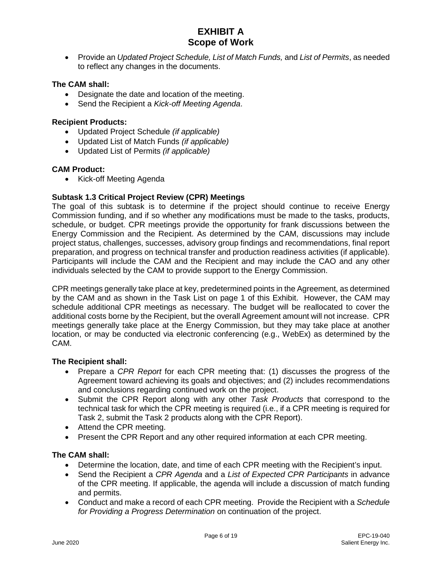• Provide an *Updated Project Schedule, List of Match Funds,* and *List of Permits*, as needed to reflect any changes in the documents.

### **The CAM shall:**

- Designate the date and location of the meeting.
- Send the Recipient a *Kick-off Meeting Agenda*.

#### **Recipient Products:**

- Updated Project Schedule *(if applicable)*
- Updated List of Match Funds *(if applicable)*
- Updated List of Permits *(if applicable)*

#### **CAM Product:**

• Kick-off Meeting Agenda

#### **Subtask 1.3 Critical Project Review (CPR) Meetings**

The goal of this subtask is to determine if the project should continue to receive Energy Commission funding, and if so whether any modifications must be made to the tasks, products, schedule, or budget. CPR meetings provide the opportunity for frank discussions between the Energy Commission and the Recipient. As determined by the CAM, discussions may include project status, challenges, successes, advisory group findings and recommendations, final report preparation, and progress on technical transfer and production readiness activities (if applicable). Participants will include the CAM and the Recipient and may include the CAO and any other individuals selected by the CAM to provide support to the Energy Commission.

CPR meetings generally take place at key, predetermined points in the Agreement, as determined by the CAM and as shown in the Task List on page 1 of this Exhibit. However, the CAM may schedule additional CPR meetings as necessary. The budget will be reallocated to cover the additional costs borne by the Recipient, but the overall Agreement amount will not increase. CPR meetings generally take place at the Energy Commission, but they may take place at another location, or may be conducted via electronic conferencing (e.g., WebEx) as determined by the CAM.

#### **The Recipient shall:**

- Prepare a *CPR Report* for each CPR meeting that: (1) discusses the progress of the Agreement toward achieving its goals and objectives; and (2) includes recommendations and conclusions regarding continued work on the project.
- Submit the CPR Report along with any other *Task Products* that correspond to the technical task for which the CPR meeting is required (i.e., if a CPR meeting is required for Task 2, submit the Task 2 products along with the CPR Report).
- Attend the CPR meeting.
- Present the CPR Report and any other required information at each CPR meeting.

#### **The CAM shall:**

- Determine the location, date, and time of each CPR meeting with the Recipient's input.
- Send the Recipient a *CPR Agenda* and a *List of Expected CPR Participants* in advance of the CPR meeting. If applicable, the agenda will include a discussion of match funding and permits.
- Conduct and make a record of each CPR meeting. Provide the Recipient with a *Schedule for Providing a Progress Determination* on continuation of the project.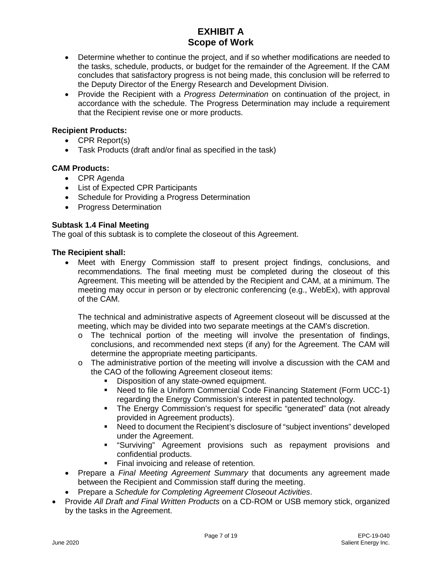- Determine whether to continue the project, and if so whether modifications are needed to the tasks, schedule, products, or budget for the remainder of the Agreement. If the CAM concludes that satisfactory progress is not being made, this conclusion will be referred to the Deputy Director of the Energy Research and Development Division.
- Provide the Recipient with a *Progress Determination* on continuation of the project, in accordance with the schedule. The Progress Determination may include a requirement that the Recipient revise one or more products.

### **Recipient Products:**

- CPR Report(s)
- Task Products (draft and/or final as specified in the task)

### **CAM Products:**

- CPR Agenda
- List of Expected CPR Participants
- Schedule for Providing a Progress Determination
- Progress Determination

### **Subtask 1.4 Final Meeting**

The goal of this subtask is to complete the closeout of this Agreement.

#### **The Recipient shall:**

• Meet with Energy Commission staff to present project findings, conclusions, and recommendations. The final meeting must be completed during the closeout of this Agreement. This meeting will be attended by the Recipient and CAM, at a minimum. The meeting may occur in person or by electronic conferencing (e.g., WebEx), with approval of the CAM.

The technical and administrative aspects of Agreement closeout will be discussed at the meeting, which may be divided into two separate meetings at the CAM's discretion.

- o The technical portion of the meeting will involve the presentation of findings, conclusions, and recommended next steps (if any) for the Agreement. The CAM will determine the appropriate meeting participants.
- $\circ$  The administrative portion of the meeting will involve a discussion with the CAM and the CAO of the following Agreement closeout items:
	- **Disposition of any state-owned equipment.**<br> **Disposition in the a Uniform Commercial Code F**
	- Need to file a Uniform Commercial Code Financing Statement (Form UCC-1) regarding the Energy Commission's interest in patented technology.
	- The Energy Commission's request for specific "generated" data (not already provided in Agreement products).
	- Need to document the Recipient's disclosure of "subject inventions" developed under the Agreement.
	- "Surviving" Agreement provisions such as repayment provisions and confidential products.
	- Final invoicing and release of retention.
- Prepare a *Final Meeting Agreement Summary* that documents any agreement made between the Recipient and Commission staff during the meeting.
- Prepare a *Schedule for Completing Agreement Closeout Activities*.
- Provide *All Draft and Final Written Products* on a CD-ROM or USB memory stick, organized by the tasks in the Agreement.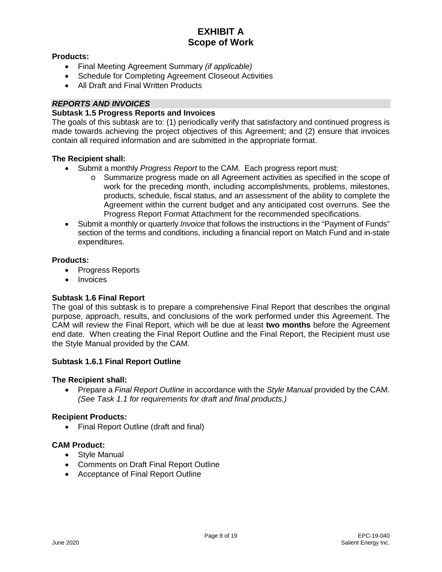### **Products:**

- Final Meeting Agreement Summary *(if applicable)*
- Schedule for Completing Agreement Closeout Activities
- All Draft and Final Written Products

## *REPORTS AND INVOICES*

### **Subtask 1.5 Progress Reports and Invoices**

The goals of this subtask are to: (1) periodically verify that satisfactory and continued progress is made towards achieving the project objectives of this Agreement; and (2) ensure that invoices contain all required information and are submitted in the appropriate format.

### **The Recipient shall:**

- Submit a monthly *Progress Report* to the CAM. Each progress report must:
	- o Summarize progress made on all Agreement activities as specified in the scope of work for the preceding month, including accomplishments, problems, milestones, products, schedule, fiscal status, and an assessment of the ability to complete the Agreement within the current budget and any anticipated cost overruns. See the Progress Report Format Attachment for the recommended specifications.
- Submit a monthly or quarterly *Invoice* that follows the instructions in the "Payment of Funds" section of the terms and conditions, including a financial report on Match Fund and in-state expenditures.

#### **Products:**

- Progress Reports
- Invoices

## **Subtask 1.6 Final Report**

The goal of this subtask is to prepare a comprehensive Final Report that describes the original purpose, approach, results, and conclusions of the work performed under this Agreement. The CAM will review the Final Report, which will be due at least **two months** before the Agreement end date. When creating the Final Report Outline and the Final Report, the Recipient must use the Style Manual provided by the CAM.

#### **Subtask 1.6.1 Final Report Outline**

#### **The Recipient shall:**

• Prepare a *Final Report Outline* in accordance with the *Style Manual* provided by the CAM. *(See Task 1.1 for requirements for draft and final products.)*

#### **Recipient Products:**

• Final Report Outline (draft and final)

## **CAM Product:**

- Style Manual
- Comments on Draft Final Report Outline
- Acceptance of Final Report Outline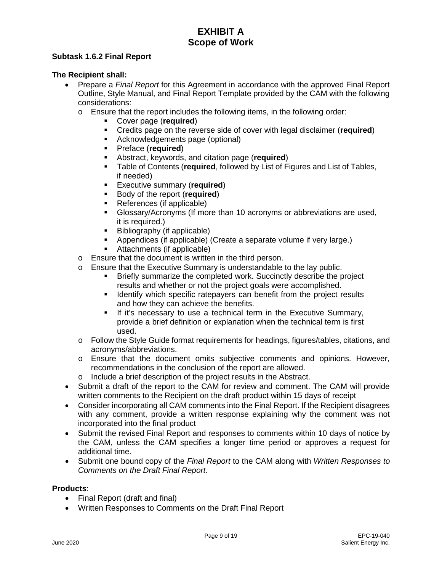## **Subtask 1.6.2 Final Report**

## **The Recipient shall:**

- Prepare a *Final Report* for this Agreement in accordance with the approved Final Report Outline, Style Manual, and Final Report Template provided by the CAM with the following considerations:
	- o Ensure that the report includes the following items, in the following order:
		- Cover page (**required**)
		- **Credits page on the reverse side of cover with legal disclaimer (required)**<br>**EXEC Acknowledgements page (optional)**
		- Acknowledgements page (optional)
		-
		- **Preface (required)**<br>**Preface (Proprint)** Abstract, keywords, and citation page (**required**)
		- Table of Contents (**required**, followed by List of Figures and List of Tables, if needed)
		- **Executive summary (required)**<br>**Executive summary (required)**
		- **Body of the report (required)**<br>**Beferences (if annicable)**
		- References (if applicable)
		- Glossary/Acronyms (If more than 10 acronyms or abbreviations are used, it is required.)
		- Bibliography (if applicable)
		- Appendices (if applicable) (Create a separate volume if very large.)
		- Attachments (if applicable)
	- o Ensure that the document is written in the third person.
	- o Ensure that the Executive Summary is understandable to the lay public.<br>Briefly summarize the completed work. Succinctly describe the public.
		- Briefly summarize the completed work. Succinctly describe the project results and whether or not the project goals were accomplished.
		- **If Identify which specific ratepayers can benefit from the project results** and how they can achieve the benefits.
		- **If it's necessary to use a technical term in the Executive Summary,** provide a brief definition or explanation when the technical term is first used.
	- o Follow the Style Guide format requirements for headings, figures/tables, citations, and acronyms/abbreviations.
	- o Ensure that the document omits subjective comments and opinions. However, recommendations in the conclusion of the report are allowed.
	- o Include a brief description of the project results in the Abstract.
- Submit a draft of the report to the CAM for review and comment. The CAM will provide written comments to the Recipient on the draft product within 15 days of receipt
- Consider incorporating all CAM comments into the Final Report. If the Recipient disagrees with any comment, provide a written response explaining why the comment was not incorporated into the final product
- Submit the revised Final Report and responses to comments within 10 days of notice by the CAM, unless the CAM specifies a longer time period or approves a request for additional time.
- Submit one bound copy of the *Final Report* to the CAM along with *Written Responses to Comments on the Draft Final Report*.

## **Products**:

- Final Report (draft and final)
- Written Responses to Comments on the Draft Final Report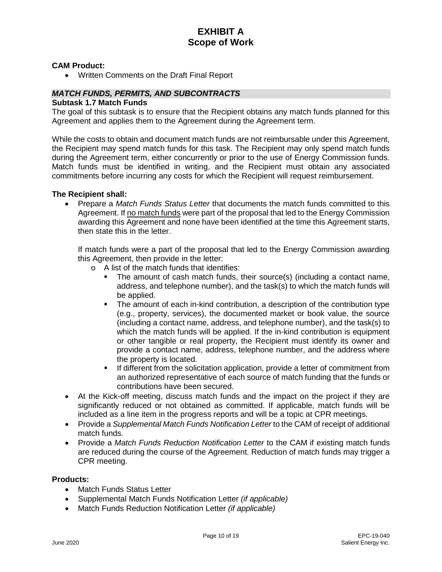#### **CAM Product:**

• Written Comments on the Draft Final Report

## *MATCH FUNDS, PERMITS, AND SUBCONTRACTS*

#### **Subtask 1.7 Match Funds**

The goal of this subtask is to ensure that the Recipient obtains any match funds planned for this Agreement and applies them to the Agreement during the Agreement term.

While the costs to obtain and document match funds are not reimbursable under this Agreement, the Recipient may spend match funds for this task. The Recipient may only spend match funds during the Agreement term, either concurrently or prior to the use of Energy Commission funds. Match funds must be identified in writing, and the Recipient must obtain any associated commitments before incurring any costs for which the Recipient will request reimbursement.

#### **The Recipient shall:**

• Prepare a *Match Funds Status Letter* that documents the match funds committed to this Agreement. If no match funds were part of the proposal that led to the Energy Commission awarding this Agreement and none have been identified at the time this Agreement starts, then state this in the letter.

If match funds were a part of the proposal that led to the Energy Commission awarding this Agreement, then provide in the letter:

- o A list of the match funds that identifies:
	- The amount of cash match funds, their source(s) (including a contact name, address, and telephone number), and the task(s) to which the match funds will be applied.
	- The amount of each in-kind contribution, a description of the contribution type (e.g., property, services), the documented market or book value, the source (including a contact name, address, and telephone number), and the task(s) to which the match funds will be applied. If the in-kind contribution is equipment or other tangible or real property, the Recipient must identify its owner and provide a contact name, address, telephone number, and the address where the property is located.
	- If different from the solicitation application, provide a letter of commitment from an authorized representative of each source of match funding that the funds or contributions have been secured.
- At the Kick-off meeting, discuss match funds and the impact on the project if they are significantly reduced or not obtained as committed. If applicable, match funds will be included as a line item in the progress reports and will be a topic at CPR meetings.
- Provide a *Supplemental Match Funds Notification Letter* to the CAM of receipt of additional match funds.
- Provide a *Match Funds Reduction Notification Letter* to the CAM if existing match funds are reduced during the course of the Agreement. Reduction of match funds may trigger a CPR meeting.

### **Products:**

- **Match Funds Status Letter**
- Supplemental Match Funds Notification Letter *(if applicable)*
- Match Funds Reduction Notification Letter *(if applicable)*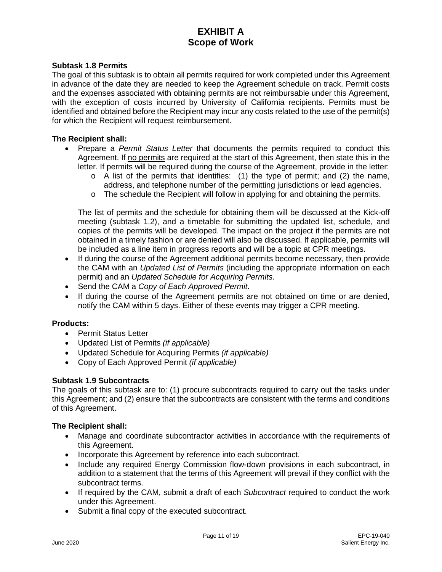#### **Subtask 1.8 Permits**

The goal of this subtask is to obtain all permits required for work completed under this Agreement in advance of the date they are needed to keep the Agreement schedule on track. Permit costs and the expenses associated with obtaining permits are not reimbursable under this Agreement, with the exception of costs incurred by University of California recipients. Permits must be identified and obtained before the Recipient may incur any costs related to the use of the permit(s) for which the Recipient will request reimbursement.

#### **The Recipient shall:**

- Prepare a *Permit Status Letter* that documents the permits required to conduct this Agreement. If no permits are required at the start of this Agreement, then state this in the letter. If permits will be required during the course of the Agreement, provide in the letter:
	- $\circ$  A list of the permits that identifies: (1) the type of permit; and (2) the name, address, and telephone number of the permitting jurisdictions or lead agencies.
	- $\circ$  The schedule the Recipient will follow in applying for and obtaining the permits.

The list of permits and the schedule for obtaining them will be discussed at the Kick-off meeting (subtask 1.2), and a timetable for submitting the updated list, schedule, and copies of the permits will be developed. The impact on the project if the permits are not obtained in a timely fashion or are denied will also be discussed. If applicable, permits will be included as a line item in progress reports and will be a topic at CPR meetings.

- If during the course of the Agreement additional permits become necessary, then provide the CAM with an *Updated List of Permits* (including the appropriate information on each permit) and an *Updated Schedule for Acquiring Permits*.
- Send the CAM a *Copy of Each Approved Permit*.
- If during the course of the Agreement permits are not obtained on time or are denied, notify the CAM within 5 days. Either of these events may trigger a CPR meeting.

#### **Products:**

- Permit Status Letter
- Updated List of Permits *(if applicable)*
- Updated Schedule for Acquiring Permits *(if applicable)*
- Copy of Each Approved Permit *(if applicable)*

#### **Subtask 1.9 Subcontracts**

The goals of this subtask are to: (1) procure subcontracts required to carry out the tasks under this Agreement; and (2) ensure that the subcontracts are consistent with the terms and conditions of this Agreement.

#### **The Recipient shall:**

- Manage and coordinate subcontractor activities in accordance with the requirements of this Agreement.
- Incorporate this Agreement by reference into each subcontract.
- Include any required Energy Commission flow-down provisions in each subcontract, in addition to a statement that the terms of this Agreement will prevail if they conflict with the subcontract terms.
- If required by the CAM, submit a draft of each *Subcontract* required to conduct the work under this Agreement.
- Submit a final copy of the executed subcontract.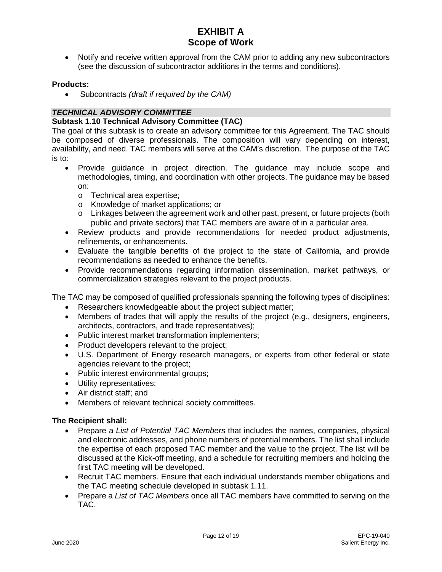• Notify and receive written approval from the CAM prior to adding any new subcontractors (see the discussion of subcontractor additions in the terms and conditions).

#### **Products:**

• Subcontracts *(draft if required by the CAM)*

### *TECHNICAL ADVISORY COMMITTEE*

### **Subtask 1.10 Technical Advisory Committee (TAC)**

The goal of this subtask is to create an advisory committee for this Agreement. The TAC should be composed of diverse professionals. The composition will vary depending on interest, availability, and need. TAC members will serve at the CAM's discretion. The purpose of the TAC is to:

- Provide guidance in project direction. The guidance may include scope and methodologies, timing, and coordination with other projects. The guidance may be based on:
	- o Technical area expertise;
	- o Knowledge of market applications; or
	- o Linkages between the agreement work and other past, present, or future projects (both public and private sectors) that TAC members are aware of in a particular area.
- Review products and provide recommendations for needed product adjustments, refinements, or enhancements.
- Evaluate the tangible benefits of the project to the state of California, and provide recommendations as needed to enhance the benefits.
- Provide recommendations regarding information dissemination, market pathways, or commercialization strategies relevant to the project products.

The TAC may be composed of qualified professionals spanning the following types of disciplines:

- Researchers knowledgeable about the project subject matter;
- Members of trades that will apply the results of the project (e.g., designers, engineers, architects, contractors, and trade representatives);
- Public interest market transformation implementers;
- Product developers relevant to the project;
- U.S. Department of Energy research managers, or experts from other federal or state agencies relevant to the project;
- Public interest environmental groups;
- Utility representatives;
- Air district staff; and
- Members of relevant technical society committees.

#### **The Recipient shall:**

- Prepare a *List of Potential TAC Members* that includes the names, companies, physical and electronic addresses, and phone numbers of potential members. The list shall include the expertise of each proposed TAC member and the value to the project. The list will be discussed at the Kick-off meeting, and a schedule for recruiting members and holding the first TAC meeting will be developed.
- Recruit TAC members. Ensure that each individual understands member obligations and the TAC meeting schedule developed in subtask 1.11.
- Prepare a *List of TAC Members* once all TAC members have committed to serving on the TAC.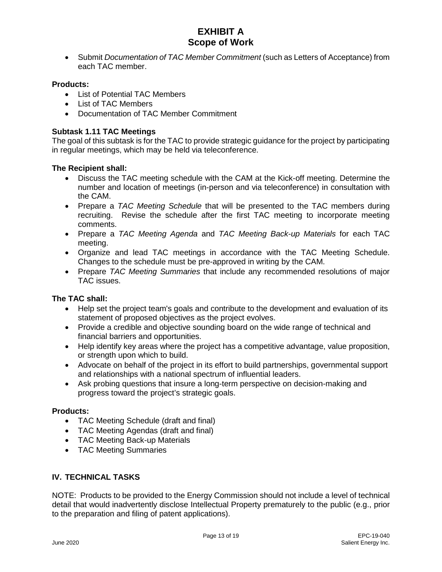• Submit *Documentation of TAC Member Commitment* (such as Letters of Acceptance) from each TAC member.

### **Products:**

- List of Potential TAC Members
- List of TAC Members
- Documentation of TAC Member Commitment

### **Subtask 1.11 TAC Meetings**

The goal of this subtask is for the TAC to provide strategic guidance for the project by participating in regular meetings, which may be held via teleconference.

### **The Recipient shall:**

- Discuss the TAC meeting schedule with the CAM at the Kick-off meeting. Determine the number and location of meetings (in-person and via teleconference) in consultation with the CAM.
- Prepare a *TAC Meeting Schedule* that will be presented to the TAC members during recruiting. Revise the schedule after the first TAC meeting to incorporate meeting comments.
- Prepare a *TAC Meeting Agenda* and *TAC Meeting Back-up Materials* for each TAC meeting.
- Organize and lead TAC meetings in accordance with the TAC Meeting Schedule. Changes to the schedule must be pre-approved in writing by the CAM.
- Prepare *TAC Meeting Summaries* that include any recommended resolutions of major TAC issues.

## **The TAC shall:**

- Help set the project team's goals and contribute to the development and evaluation of its statement of proposed objectives as the project evolves.
- Provide a credible and objective sounding board on the wide range of technical and financial barriers and opportunities.
- Help identify key areas where the project has a competitive advantage, value proposition, or strength upon which to build.
- Advocate on behalf of the project in its effort to build partnerships, governmental support and relationships with a national spectrum of influential leaders.
- Ask probing questions that insure a long-term perspective on decision-making and progress toward the project's strategic goals.

#### **Products:**

- TAC Meeting Schedule (draft and final)
- TAC Meeting Agendas (draft and final)
- TAC Meeting Back-up Materials
- TAC Meeting Summaries

## **IV. TECHNICAL TASKS**

NOTE: Products to be provided to the Energy Commission should not include a level of technical detail that would inadvertently disclose Intellectual Property prematurely to the public (e.g., prior to the preparation and filing of patent applications).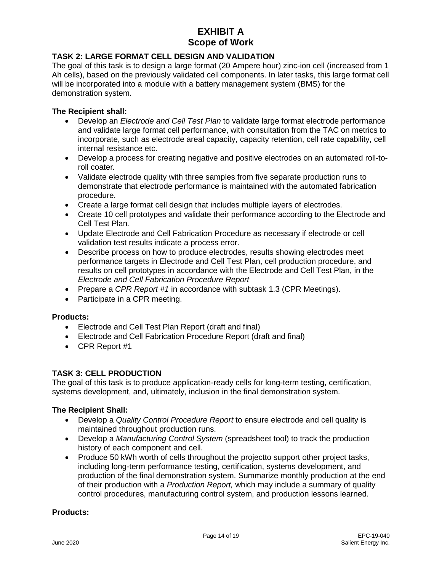## **TASK 2: LARGE FORMAT CELL DESIGN AND VALIDATION**

The goal of this task is to design a large format (20 Ampere hour) zinc-ion cell (increased from 1 Ah cells), based on the previously validated cell components. In later tasks, this large format cell will be incorporated into a module with a battery management system (BMS) for the demonstration system.

### **The Recipient shall:**

- Develop an *Electrode and Cell Test Plan* to validate large format electrode performance and validate large format cell performance, with consultation from the TAC on metrics to incorporate, such as electrode areal capacity, capacity retention, cell rate capability, cell internal resistance etc.
- Develop a process for creating negative and positive electrodes on an automated roll-toroll coater*.*
- Validate electrode quality with three samples from five separate production runs to demonstrate that electrode performance is maintained with the automated fabrication procedure.
- Create a large format cell design that includes multiple layers of electrodes.
- Create 10 cell prototypes and validate their performance according to the Electrode and Cell Test Plan*.*
- Update Electrode and Cell Fabrication Procedure as necessary if electrode or cell validation test results indicate a process error.
- Describe process on how to produce electrodes, results showing electrodes meet performance targets in Electrode and Cell Test Plan, cell production procedure, and results on cell prototypes in accordance with the Electrode and Cell Test Plan, in the *Electrode and Cell Fabrication Procedure Report*
- Prepare a *CPR Report #1* in accordance with subtask 1.3 (CPR Meetings).
- Participate in a CPR meeting.

#### **Products:**

- Electrode and Cell Test Plan Report (draft and final)
- Electrode and Cell Fabrication Procedure Report (draft and final)
- CPR Report #1

## **TASK 3: CELL PRODUCTION**

The goal of this task is to produce application-ready cells for long-term testing, certification, systems development, and, ultimately, inclusion in the final demonstration system.

#### **The Recipient Shall:**

- Develop a *Quality Control Procedure Report* to ensure electrode and cell quality is maintained throughout production runs.
- Develop a *Manufacturing Control System* (spreadsheet tool) to track the production history of each component and cell.
- Produce 50 kWh worth of cells throughout the projectto support other project tasks, including long-term performance testing, certification, systems development, and production of the final demonstration system. Summarize monthly production at the end of their production with a *Production Report,* which may include a summary of quality control procedures, manufacturing control system, and production lessons learned.

#### **Products:**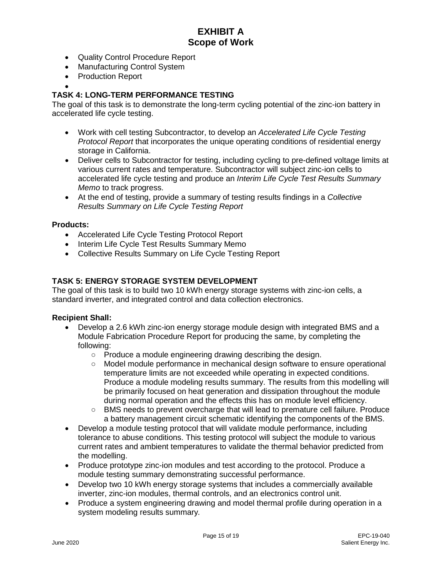- Quality Control Procedure Report
- Manufacturing Control System
- Production Report
- •

## **TASK 4: LONG-TERM PERFORMANCE TESTING**

The goal of this task is to demonstrate the long-term cycling potential of the zinc-ion battery in accelerated life cycle testing.

- Work with cell testing Subcontractor, to develop an *Accelerated Life Cycle Testing Protocol Report* that incorporates the unique operating conditions of residential energy storage in California.
- Deliver cells to Subcontractor for testing, including cycling to pre-defined voltage limits at various current rates and temperature. Subcontractor will subject zinc-ion cells to accelerated life cycle testing and produce an *Interim Life Cycle Test Results Summary Memo* to track progress.
- At the end of testing, provide a summary of testing results findings in a *Collective Results Summary on Life Cycle Testing Report*

### **Products:**

- Accelerated Life Cycle Testing Protocol Report
- Interim Life Cycle Test Results Summary Memo
- Collective Results Summary on Life Cycle Testing Report

### **TASK 5: ENERGY STORAGE SYSTEM DEVELOPMENT**

The goal of this task is to build two 10 kWh energy storage systems with zinc-ion cells, a standard inverter, and integrated control and data collection electronics.

#### **Recipient Shall:**

- Develop a 2.6 kWh zinc-ion energy storage module design with integrated BMS and a Module Fabrication Procedure Report for producing the same, by completing the following:
	- Produce a module engineering drawing describing the design.
	- Model module performance in mechanical design software to ensure operational temperature limits are not exceeded while operating in expected conditions. Produce a module modeling results summary. The results from this modelling will be primarily focused on heat generation and dissipation throughout the module during normal operation and the effects this has on module level efficiency.
	- BMS needs to prevent overcharge that will lead to premature cell failure. Produce a battery management circuit schematic identifying the components of the BMS.
- Develop a module testing protocol that will validate module performance, including tolerance to abuse conditions. This testing protocol will subject the module to various current rates and ambient temperatures to validate the thermal behavior predicted from the modelling.
- Produce prototype zinc-ion modules and test according to the protocol. Produce a module testing summary demonstrating successful performance.
- Develop two 10 kWh energy storage systems that includes a commercially available inverter, zinc-ion modules, thermal controls, and an electronics control unit.
- Produce a system engineering drawing and model thermal profile during operation in a system modeling results summary*.*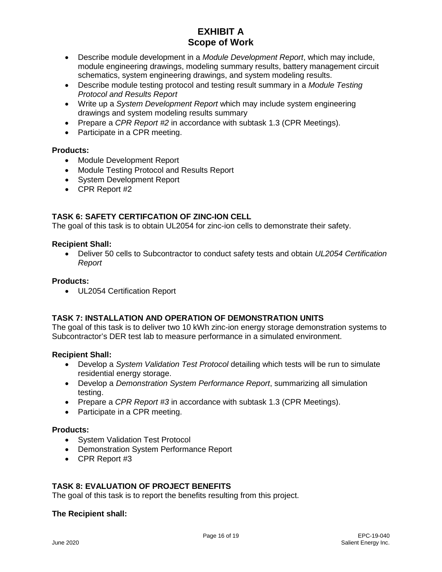- Describe module development in a *Module Development Report*, which may include, module engineering drawings, modeling summary results, battery management circuit schematics, system engineering drawings, and system modeling results.
- Describe module testing protocol and testing result summary in a *Module Testing Protocol and Results Report*
- Write up a *System Development Report* which may include system engineering drawings and system modeling results summary
- Prepare a *CPR Report #2* in accordance with subtask 1.3 (CPR Meetings).
- Participate in a CPR meeting.

## **Products:**

- Module Development Report
- Module Testing Protocol and Results Report
- System Development Report
- CPR Report #2

## **TASK 6: SAFETY CERTIFCATION OF ZINC-ION CELL**

The goal of this task is to obtain UL2054 for zinc-ion cells to demonstrate their safety.

### **Recipient Shall:**

• Deliver 50 cells to Subcontractor to conduct safety tests and obtain *UL2054 Certification Report*

### **Products:**

• UL2054 Certification Report

## **TASK 7: INSTALLATION AND OPERATION OF DEMONSTRATION UNITS**

The goal of this task is to deliver two 10 kWh zinc-ion energy storage demonstration systems to Subcontractor's DER test lab to measure performance in a simulated environment.

## **Recipient Shall:**

- Develop a *System Validation Test Protocol* detailing which tests will be run to simulate residential energy storage.
- Develop a *Demonstration System Performance Report*, summarizing all simulation testing.
- Prepare a *CPR Report #3* in accordance with subtask 1.3 (CPR Meetings).
- Participate in a CPR meeting.

#### **Products:**

- System Validation Test Protocol
- Demonstration System Performance Report
- CPR Report #3

## **TASK 8: EVALUATION OF PROJECT BENEFITS**

The goal of this task is to report the benefits resulting from this project.

#### **The Recipient shall:**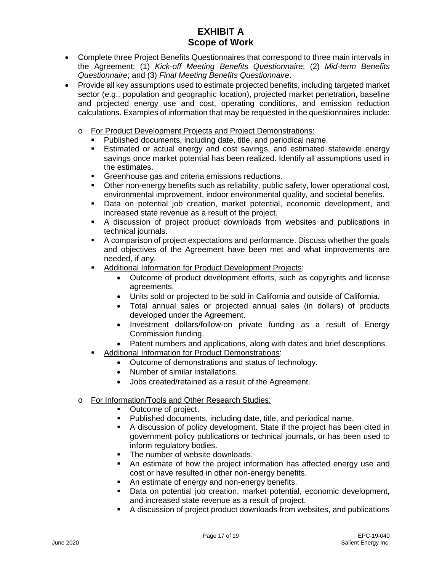- Complete three Project Benefits Questionnaires that correspond to three main intervals in the Agreement: (1) *Kick-off Meeting Benefits Questionnaire*; (2) *Mid-term Benefits Questionnaire*; and (3) *Final Meeting Benefits Questionnaire*.
- Provide all key assumptions used to estimate projected benefits, including targeted market sector (e.g., population and geographic location), projected market penetration, baseline and projected energy use and cost, operating conditions, and emission reduction calculations. Examples of information that may be requested in the questionnaires include:
	- o For Product Development Projects and Project Demonstrations:
		- Published documents, including date, title, and periodical name.
		- Estimated or actual energy and cost savings, and estimated statewide energy savings once market potential has been realized. Identify all assumptions used in the estimates.
		- Greenhouse gas and criteria emissions reductions.
		- Other non-energy benefits such as reliability, public safety, lower operational cost, environmental improvement, indoor environmental quality, and societal benefits.
		- Data on potential job creation, market potential, economic development, and increased state revenue as a result of the project.
		- A discussion of project product downloads from websites and publications in technical journals.
		- A comparison of project expectations and performance. Discuss whether the goals and objectives of the Agreement have been met and what improvements are needed, if any.
		- **Additional Information for Product Development Projects:** 
			- Outcome of product development efforts, such as copyrights and license agreements.
			- Units sold or projected to be sold in California and outside of California.
			- Total annual sales or projected annual sales (in dollars) of products developed under the Agreement.
			- Investment dollars/follow-on private funding as a result of Energy Commission funding.
			- Patent numbers and applications, along with dates and brief descriptions.
		- Additional Information for Product Demonstrations:
			- Outcome of demonstrations and status of technology.
			- Number of similar installations.
			- Jobs created/retained as a result of the Agreement.
	- o For Information/Tools and Other Research Studies:
		- Outcome of project.
		- Published documents, including date, title, and periodical name.
		- A discussion of policy development. State if the project has been cited in government policy publications or technical journals, or has been used to inform regulatory bodies.
		- The number of website downloads.
		- An estimate of how the project information has affected energy use and cost or have resulted in other non-energy benefits.
		- An estimate of energy and non-energy benefits.
		- Data on potential job creation, market potential, economic development, and increased state revenue as a result of project.
		- A discussion of project product downloads from websites, and publications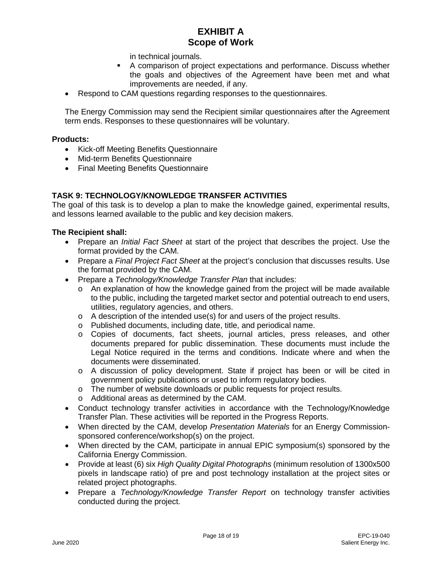in technical journals.

- A comparison of project expectations and performance. Discuss whether the goals and objectives of the Agreement have been met and what improvements are needed, if any.
- Respond to CAM questions regarding responses to the questionnaires.

The Energy Commission may send the Recipient similar questionnaires after the Agreement term ends. Responses to these questionnaires will be voluntary.

#### **Products:**

- Kick-off Meeting Benefits Questionnaire
- Mid-term Benefits Questionnaire
- Final Meeting Benefits Questionnaire

## **TASK 9: TECHNOLOGY/KNOWLEDGE TRANSFER ACTIVITIES**

The goal of this task is to develop a plan to make the knowledge gained, experimental results, and lessons learned available to the public and key decision makers.

#### **The Recipient shall:**

- Prepare an *Initial Fact Sheet* at start of the project that describes the project. Use the format provided by the CAM.
- Prepare a *Final Project Fact Sheet* at the project's conclusion that discusses results. Use the format provided by the CAM.
- Prepare a *Technology/Knowledge Transfer Plan* that includes:
	- $\circ$  An explanation of how the knowledge gained from the project will be made available to the public, including the targeted market sector and potential outreach to end users, utilities, regulatory agencies, and others.
	- $\circ$  A description of the intended use(s) for and users of the project results.
	- o Published documents, including date, title, and periodical name.
	- o Copies of documents, fact sheets, journal articles, press releases, and other documents prepared for public dissemination. These documents must include the Legal Notice required in the terms and conditions. Indicate where and when the documents were disseminated.
	- o A discussion of policy development. State if project has been or will be cited in government policy publications or used to inform regulatory bodies.
	- o The number of website downloads or public requests for project results.
	- o Additional areas as determined by the CAM.
- Conduct technology transfer activities in accordance with the Technology/Knowledge Transfer Plan. These activities will be reported in the Progress Reports.
- When directed by the CAM, develop *Presentation Materials* for an Energy Commissionsponsored conference/workshop(s) on the project.
- When directed by the CAM, participate in annual EPIC symposium(s) sponsored by the California Energy Commission.
- Provide at least (6) six *High Quality Digital Photographs* (minimum resolution of 1300x500 pixels in landscape ratio) of pre and post technology installation at the project sites or related project photographs.
- Prepare a *Technology/Knowledge Transfer Report* on technology transfer activities conducted during the project.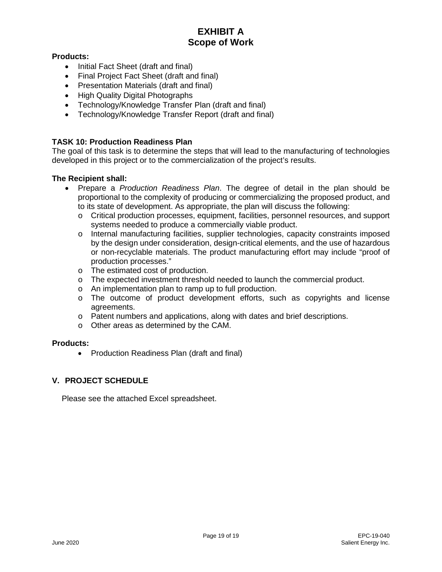## **Products:**

- Initial Fact Sheet (draft and final)
- Final Project Fact Sheet (draft and final)
- Presentation Materials (draft and final)
- High Quality Digital Photographs
- Technology/Knowledge Transfer Plan (draft and final)
- Technology/Knowledge Transfer Report (draft and final)

## **TASK 10: Production Readiness Plan**

The goal of this task is to determine the steps that will lead to the manufacturing of technologies developed in this project or to the commercialization of the project's results.

## **The Recipient shall:**

- Prepare a *Production Readiness Plan*. The degree of detail in the plan should be proportional to the complexity of producing or commercializing the proposed product, and to its state of development. As appropriate, the plan will discuss the following:
	- o Critical production processes, equipment, facilities, personnel resources, and support systems needed to produce a commercially viable product.
	- o Internal manufacturing facilities, supplier technologies, capacity constraints imposed by the design under consideration, design-critical elements, and the use of hazardous or non-recyclable materials. The product manufacturing effort may include "proof of production processes."
	- o The estimated cost of production.
	- o The expected investment threshold needed to launch the commercial product.
	- o An implementation plan to ramp up to full production.
	- o The outcome of product development efforts, such as copyrights and license agreements.
	- o Patent numbers and applications, along with dates and brief descriptions.
	- o Other areas as determined by the CAM.

#### **Products:**

• Production Readiness Plan (draft and final)

## **V. PROJECT SCHEDULE**

Please see the attached Excel spreadsheet.